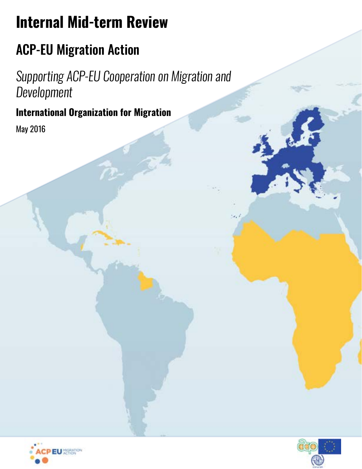# **Internal Mid-term Review**

# ACP-EU Migration Action

*Supporting ACP-EU Cooperation on Migration and Development*

# **International Organization for Migration**

May 2016



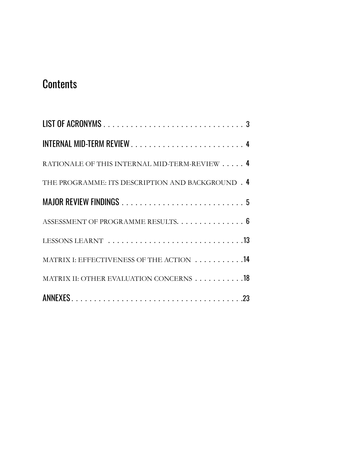# **Contents**

| RATIONALE OF THIS INTERNAL MID-TERM-REVIEW 4      |
|---------------------------------------------------|
| THE PROGRAMME: ITS DESCRIPTION AND BACKGROUND . 4 |
|                                                   |
| ASSESSMENT OF PROGRAMME RESULTS. 6                |
|                                                   |
| MATRIX I: EFFECTIVENESS OF THE ACTION  14         |
| MATRIX II: OTHER EVALUATION CONCERNS 18           |
|                                                   |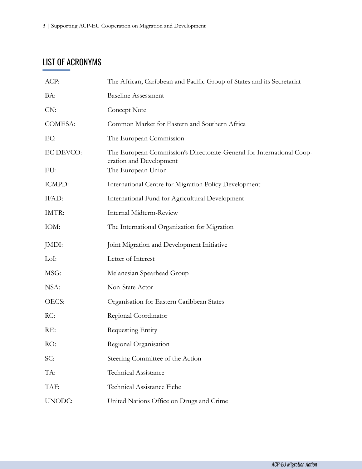# <span id="page-2-0"></span>LIST OF ACRONYMS

| The African, Caribbean and Pacific Group of States and its Secretariat                           |  |
|--------------------------------------------------------------------------------------------------|--|
| <b>Baseline Assessment</b>                                                                       |  |
| Concept Note                                                                                     |  |
| Common Market for Eastern and Southern Africa                                                    |  |
| The European Commission                                                                          |  |
| The European Commission's Directorate-General for International Coop-<br>eration and Development |  |
| The European Union                                                                               |  |
| International Centre for Migration Policy Development                                            |  |
| International Fund for Agricultural Development                                                  |  |
| Internal Midterm-Review                                                                          |  |
| The International Organization for Migration                                                     |  |
| Joint Migration and Development Initiative                                                       |  |
| Letter of Interest                                                                               |  |
| Melanesian Spearhead Group                                                                       |  |
| Non-State Actor                                                                                  |  |
| Organisation for Eastern Caribbean States                                                        |  |
| Regional Coordinator                                                                             |  |
| Requesting Entity                                                                                |  |
| Regional Organisation                                                                            |  |
| Steering Committee of the Action                                                                 |  |
| <b>Technical Assistance</b>                                                                      |  |
| Technical Assistance Fiche                                                                       |  |
| United Nations Office on Drugs and Crime                                                         |  |
|                                                                                                  |  |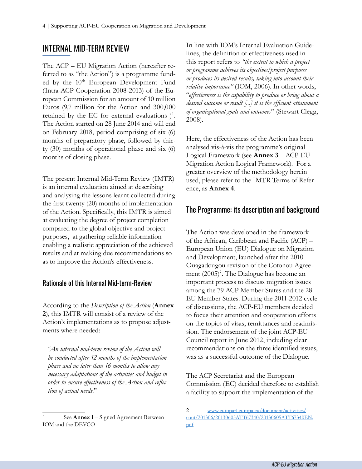## <span id="page-3-0"></span>INTERNAL MID-TERM REVIEW

The ACP – EU Migration Action (hereafter referred to as "the Action") is a programme funded by the 10<sup>th</sup> European Development Fund (Intra-ACP Cooperation 2008-2013) of the European Commission for an amount of 10 million Euros (9,7 million for the Action and 300,000 retained by the EC for external evaluations  $)^{1}$ . The Action started on 28 June 2014 and will end on February 2018, period comprising of six (6) months of preparatory phase, followed by thirty (30) months of operational phase and six (6) months of closing phase.

The present Internal Mid-Term Review (IMTR) is an internal evaluation aimed at describing and analysing the lessons learnt collected during the first twenty (20) months of implementation of the Action. Specifically, this IMTR is aimed at evaluating the degree of project completion compared to the global objective and project purposes, at gathering reliable information enabling a realistic appreciation of the achieved results and at making due recommendations so as to improve the Action's effectiveness.

#### Rationale of this Internal Mid-term-Review

According to the *Description of the Action* (**Annex 2**), this IMTR will consist of a review of the Action's implementations as to propose adjustments where needed:

"*An internal mid-term review of the Action will be conducted after 12 months of the implementation phase and no later than 16 months to allow any necessary adaptations of the activities and budget in order to ensure effectiveness of the Action and reflection of actual needs*."

In line with IOM's Internal Evaluation Guidelines, the definition of effectiveness used in this report refers to *"the extent to which a project or programme achieves its objectives/project purposes or produces its desired results, taking into account their relative importance"* (IOM, 2006). In other words, "*effectiveness is the capability to produce or bring about a desired outcome or result [...] it is the efficient attainment of organizational goals and outcomes*" (Stewart Clegg, 2008).

Here, the effectiveness of the Action has been analysed vis-à-vis the programme's original Logical Framework (see **Annex 3** – ACP-EU Migration Action Logical Framework). For a greater overview of the methodology herein used, please refer to the IMTR Terms of Reference, as **Annex 4**.

#### The Programme: its description and background

The Action was developed in the framework of the African, Caribbean and Pacific (ACP) – European Union (EU) Dialogue on Migration and Development, launched after the 2010 Ouagadougou revision of the Cotonou Agreement (2005)<sup>2</sup>. The Dialogue has become an important process to discuss migration issues among the 79 ACP Member States and the 28 EU Member States. During the 2011-2012 cycle of discussions, the ACP-EU members decided to focus their attention and cooperation efforts on the topics of visas, remittances and readmission. The endorsement of the joint ACP-EU Council report in June 2012, including clear recommendations on the three identified issues, was as a successful outcome of the Dialogue.

The ACP Secretariat and the European Commission (EC) decided therefore to establish a facility to support the implementation of the

<sup>1</sup> See **Annex 1** – Signed Agreement Between IOM and the DEVCO

<sup>2</sup> [www.europarl.europa.eu/document/activities/](http://www.europarl.europa.eu/document/activities/cont/201306/20130605ATT67340/20130605ATT67340EN.pdf) [cont/201306/20130605ATT67340/20130605ATT67340EN.](http://www.europarl.europa.eu/document/activities/cont/201306/20130605ATT67340/20130605ATT67340EN.pdf) [pdf](http://www.europarl.europa.eu/document/activities/cont/201306/20130605ATT67340/20130605ATT67340EN.pdf)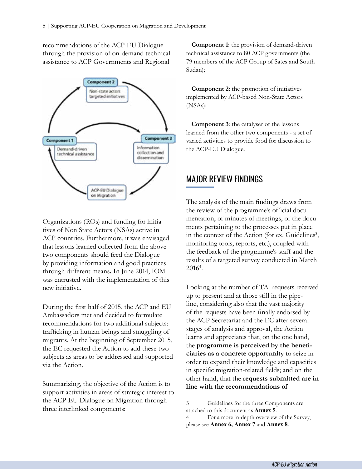<span id="page-4-0"></span>recommendations of the ACP-EU Dialogue through the provision of on-demand technical assistance to ACP Governments and Regional



Organizations (ROs) and funding for initiatives of Non State Actors (NSAs) active in ACP countries. Furthermore, it was envisaged that lessons learned collected from the above two components should feed the Dialogue by providing information and good practices through different means**.** In June 2014, IOM was entrusted with the implementation of this new initiative.

During the first half of 2015, the ACP and EU Ambassadors met and decided to formulate recommendations for two additional subjects: trafficking in human beings and smuggling of migrants. At the beginning of September 2015, the EC requested the Action to add these two subjects as areas to be addressed and supported via the Action.

Summarizing, the objective of the Action is to support activities in areas of strategic interest to the ACP-EU Dialogue on Migration through three interlinked components:

**Component 1**: the provision of demand-driven technical assistance to 80 ACP governments (the 79 members of the ACP Group of Sates and South Sudan);

**Component 2**: the promotion of initiatives implemented by ACP-based Non-State Actors (NSAs);

**Component 3**: the catalyser of the lessons learned from the other two components - a set of varied activities to provide food for discussion to the ACP-EU Dialogue.

## MAJOR REVIEW FINDINGS

The analysis of the main findings draws from the review of the programme's official documentation, of minutes of meetings, of the documents pertaining to the processes put in place in the context of the Action (for ex. Guidelines<sup>3</sup>, monitoring tools, reports, etc.), coupled with the feedback of the programme's staff and the results of a targeted survey conducted in March 2016<sup>4</sup> .

Looking at the number of TA requests received up to present and at those still in the pipeline, considering also that the vast majority of the requests have been finally endorsed by the ACP Secretariat and the EC after several stages of analysis and approval, the Action learns and appreciates that, on the one hand, the **programme is perceived by the beneficiaries as a concrete opportunity** to seize in order to expand their knowledge and capacities in specific migration-related fields; and on the other hand, that the **requests submitted are in line with the recommendations of** 

<sup>3</sup> Guidelines for the three Components are attached to this document as **Annex 5**.

<sup>4</sup> For a more in-depth overview of the Survey, please see **Annex 6, Annex 7** and **Annex 8**.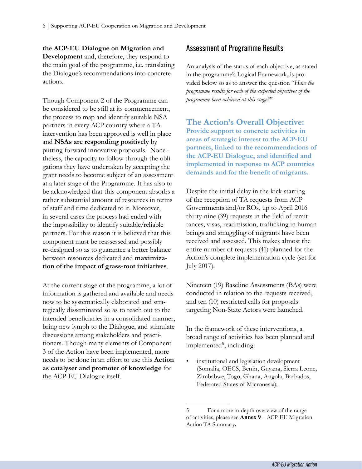#### <span id="page-5-0"></span>**the ACP-EU Dialogue on Migration and**

**Development** and, therefore, they respond to the main goal of the programme, i.e. translating the Dialogue's recommendations into concrete actions.

Though Component 2 of the Programme can be considered to be still at its commencement, the process to map and identify suitable NSA partners in every ACP country where a TA intervention has been approved is well in place and **NSAs are responding positively** by putting forward innovative proposals. Nonetheless, the capacity to follow through the obligations they have undertaken by accepting the grant needs to become subject of an assessment at a later stage of the Programme. It has also to be acknowledged that this component absorbs a rather substantial amount of resources in terms of staff and time dedicated to it. Moreover, in several cases the process had ended with the impossibility to identify suitable/reliable partners. For this reason it is believed that this component must be reassessed and possibly re-designed so as to guarantee a better balance between resources dedicated and **maximization of the impact of grass-root initiatives**.

At the current stage of the programme, a lot of information is gathered and available and needs now to be systematically elaborated and strategically disseminated so as to reach out to the intended beneficiaries in a consolidated manner, bring new lymph to the Dialogue, and stimulate discussions among stakeholders and practitioners. Though many elements of Component 3 of the Action have been implemented, more needs to be done in an effort to use this **Action as catalyser and promoter of knowledge** for the ACP-EU Dialogue itself.

#### Assessment of Programme Results

An analysis of the status of each objective, as stated in the programme's Logical Framework, is provided below so as to answer the question "*Have the programme results for each of the expected objectives of the programme been achieved at this stage?*"

**The Action's Overall Objective: Provide support to concrete activities in areas of strategic interest to the ACP-EU partners, linked to the recommendations of the ACP-EU Dialogue, and identified and implemented in response to ACP countries demands and for the benefit of migrants.**

Despite the initial delay in the kick-starting of the reception of TA requests from ACP Governments and/or ROs, up to April 2016 thirty-nine (39) requests in the field of remittances, visas, readmission, trafficking in human beings and smuggling of migrants have been received and assessed. This makes almost the entire number of requests (41) planned for the Action's complete implementation cycle (set for July 2017).

Nineteen (19) Baseline Assessments (BAs) were conducted in relation to the requests received, and ten (10) restricted calls for proposals targeting Non-State Actors were launched.

In the framework of these interventions, a broad range of activities has been planned and implemented<sup>5</sup>, including:

institutional and legislation development (Somalia, OECS, Benin, Guyana, Sierra Leone, Zimbabwe, Togo, Ghana, Angola, Barbados, Federated States of Micronesia);

<sup>5</sup> For a more in-depth overview of the range of activities, please see **Annex 9** – ACP-EU Migration Action TA Summary**.**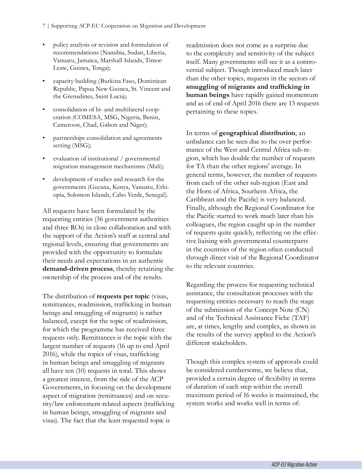- policy analysis or revision and formulation of recommendations (Namibia, Sudan, Liberia, Vanuatu, Jamaica, Marshall Islands, Timor-Leste, Guinea, Tonga);
- capacity building (Burkina Faso, Dominican Republic, Papua New Guinea, St. Vincent and the Grenadines, Saint Lucia);
- consolidation of bi- and multilateral cooperation (COMESA, MSG, Nigeria, Benin, Cameroon, Chad, Gabon and Niger);
- partnerships consolidation and agreements setting (MSG);
- evaluation of institutional / governmental migration management mechanisms (Mali);
- development of studies and research for the governments (Guyana, Kenya, Vanuatu, Ethiopia, Solomon Islands, Cabo Verde, Senegal).

All requests have been formulated by the requesting entities (36 government authorities and three ROs) in close collaboration and with the support of the Action's staff at central and regional levels, ensuring that governments are provided with the opportunity to formulate their needs and expectations in an authentic **demand-driven process**, thereby retaining the ownership of the process and of the results.

The distribution of **requests per topic** (visas, remittances, readmission, trafficking in human beings and smuggling of migrants) is rather balanced, except for the topic of readmission, for which the programme has received three requests only. Remittances is the topic with the largest number of requests (16 up to end April 2016), while the topics of visas, trafficking in human beings and smuggling of migrants all have ten (10) requests in total. This shows a greatest interest, from the side of the ACP Governments, in focusing on the development aspect of migration (remittances) and on security/law enforcement-related aspects (trafficking in human beings, smuggling of migrants and visas). The fact that the least requested topic is

readmission does not come as a surprise due to the complexity and sensitivity of the subject itself. Many governments still see it as a controversial subject. Though introduced much later than the other topics, requests in the sectors of **smuggling of migrants and trafficking in human beings** have rapidly gained momentum and as of end of April 2016 there are 13 requests pertaining to these topics.

In terms of **geographical distribution**, an unbalance can be seen due to the over performance of the West and Central Africa sub-region, which has double the number of requests for TA than the other regions' average. In general terms, however, the number of requests from each of the other sub-region (East and the Horn of Africa, Southern Africa, the Caribbean and the Pacific) is very balanced. Finally, although the Regional Coordinator for the Pacific started to work much later than his colleagues, the region caught up in the number of requests quite quickly, reflecting on the effective liaising with governmental counterparts in the countries of the region often conducted through direct visit of the Regional Coordinator to the relevant countries.

Regarding the process for requesting technical assistance, the consultation processes with the requesting entities necessary to reach the stage of the submission of the Concept Note (CN) and of the Technical Assistance Fiche (TAF) are, at times, lengthy and complex, as shown in the results of the survey applied to the Action's different stakeholders.

Though this complex system of approvals could be considered cumbersome, we believe that, provided a certain degree of flexibility in terms of duration of each step within the overall maximum period of 16 weeks is maintained, the system works and works well in terms of: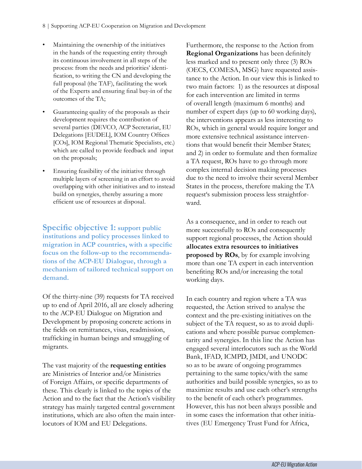- Maintaining the ownership of the initiatives in the hands of the requesting entity through its continuous involvement in all steps of the process: from the needs and priorities' identification, to writing the CN and developing the full proposal (the TAF), facilitating the work of the Experts and ensuring final buy-in of the outcomes of the TA;
- Guaranteeing quality of the proposals as their development requires the contribution of several parties (DEVCO, ACP Secretariat, EU Delegations [EUDEL], IOM Country Offices [COs], IOM Regional Thematic Specialists, etc.) which are called to provide feedback and input on the proposals;
- Ensuring feasibility of the initiative through multiple layers of screening in an effort to avoid overlapping with other initiatives and to instead build on synergies, thereby assuring a more efficient use of resources at disposal.

**Specific objective 1: support public institutions and policy processes linked to migration in ACP countries, with a specific focus on the follow-up to the recommendations of the ACP-EU Dialogue, through a mechanism of tailored technical support on demand.**

Of the thirty-nine (39) requests for TA received up to end of April 2016, all are closely adhering to the ACP-EU Dialogue on Migration and Development by proposing concrete actions in the fields on remittances, visas, readmission, trafficking in human beings and smuggling of migrants.

The vast majority of the **requesting entities** are Ministries of Interior and/or Ministries of Foreign Affairs, or specific departments of these. This clearly is linked to the topics of the Action and to the fact that the Action's visibility strategy has mainly targeted central government institutions, which are also often the main interlocutors of IOM and EU Delegations.

Furthermore, the response to the Action from **Regional Organizations** has been definitely less marked and to present only three (3) ROs (OECS, COMESA, MSG) have requested assistance to the Action. In our view this is linked to two main factors: 1) as the resources at disposal for each intervention are limited in terms of overall length (maximum 6 months) and number of expert days (up to 60 working days), the interventions appears as less interesting to ROs, which in general would require longer and more extensive technical assistance interventions that would benefit their Member States; and 2) in order to formulate and then formalize a TA request, ROs have to go through more complex internal decision making processes due to the need to involve their several Member States in the process, therefore making the TA request's submission process less straightforward.

As a consequence, and in order to reach out more successfully to ROs and consequently support regional processes, the Action should **allocates extra resources to initiatives proposed by ROs**, by for example involving more than one TA expert in each intervention benefiting ROs and/or increasing the total working days.

In each country and region where a TA was requested, the Action strived to analyse the context and the pre-existing initiatives on the subject of the TA request, so as to avoid duplications and where possible pursue complementarity and synergies. In this line the Action has engaged several interlocutors such as the World Bank, IFAD, ICMPD, JMDI, and UNODC so as to be aware of ongoing programmes pertaining to the same topics/with the same authorities and build possible synergies, so as to maximize results and use each other's strengths to the benefit of each other's programmes. However, this has not been always possible and in some cases the information that other initiatives (EU Emergency Trust Fund for Africa,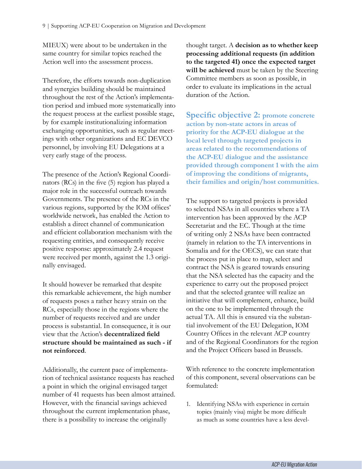MIEUX) were about to be undertaken in the same country for similar topics reached the Action well into the assessment process.

Therefore, the efforts towards non-duplication and synergies building should be maintained throughout the rest of the Action's implementation period and imbued more systematically into the request process at the earliest possible stage, by for example institutionalizing information exchanging opportunities, such as regular meetings with other organizations and EC DEVCO personnel, by involving EU Delegations at a very early stage of the process.

The presence of the Action's Regional Coordinators (RCs) in the five (5) region has played a major role in the successful outreach towards Governments. The presence of the RCs in the various regions, supported by the IOM offices' worldwide network, has enabled the Action to establish a direct channel of communication and efficient collaboration mechanism with the requesting entities, and consequently receive positive response: approximately 2.4 request were received per month, against the 1.3 originally envisaged.

It should however be remarked that despite this remarkable achievement, the high number of requests poses a rather heavy strain on the RCs, especially those in the regions where the number of requests received and are under process is substantial. In consequence, it is our view that the Action's **decentralized field structure should be maintained as such - if not reinforced**.

Additionally, the current pace of implementation of technical assistance requests has reached a point in which the original envisaged target number of 41 requests has been almost attained. However, with the financial savings achieved throughout the current implementation phase, there is a possibility to increase the originally

thought target. A **decision as to whether keep processing additional requests (in addition to the targeted 41) once the expected target will be achieved** must be taken by the Steering Committee members as soon as possible, in order to evaluate its implications in the actual duration of the Action.

**Specific objective 2: promote concrete action by non-state actors in areas of priority for the ACP-EU dialogue at the local level through targeted projects in areas related to the recommendations of the ACP-EU dialogue and the assistance provided through component 1 with the aim of improving the conditions of migrants, their families and origin/host communities.**

The support to targeted projects is provided to selected NSAs in all countries where a TA intervention has been approved by the ACP Secretariat and the EC. Though at the time of writing only 2 NSAs have been contracted (namely in relation to the TA interventions in Somalia and for the OECS), we can state that the process put in place to map, select and contract the NSA is geared towards ensuring that the NSA selected has the capacity and the experience to carry out the proposed project and that the selected grantee will realize an initiative that will complement, enhance, build on the one to be implemented through the actual TA. All this is ensured via the substantial involvement of the EU Delegation, IOM Country Offices in the relevant ACP country and of the Regional Coordinators for the region and the Project Officers based in Brussels.

With reference to the concrete implementation of this component, several observations can be formulated:

1. Identifying NSAs with experience in certain topics (mainly visa) might be more difficult as much as some countries have a less devel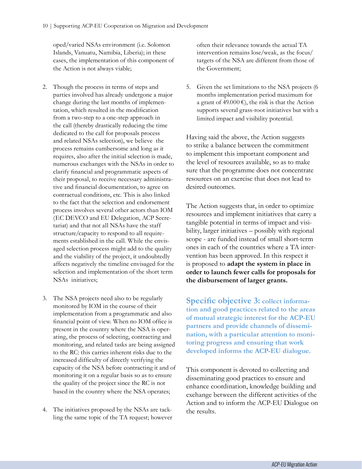oped/varied NSAs environment (i.e. Solomon Islands, Vanuatu, Namibia, Liberia); in these cases, the implementation of this component of the Action is not always viable;

- 2. Though the process in terms of steps and parties involved has already undergone a major change during the last months of implementation, which resulted in the modification from a two-step to a one-step approach in the call (thereby drastically reducing the time dedicated to the call for proposals process and related NSAs selection), we believe the process remains cumbersome and long as it requires, also after the initial selection is made, numerous exchanges with the NSAs in order to clarify financial and programmatic aspects of their proposal, to receive necessary administrative and financial documentation, to agree on contractual conditions, etc. This is also linked to the fact that the selection and endorsement process involves several other actors than IOM (EC DEVCO and EU Delegation, ACP Secretariat) and that not all NSAs have the staff structure/capacity to respond to all requirements established in the call. While the envisaged selection process might add to the quality and the viability of the project, it undoubtedly affects negatively the timeline envisaged for the selection and implementation of the short term NSAs initiatives;
- 3. The NSA projects need also to be regularly monitored by IOM in the course of their implementation from a programmatic and also financial point of view. When no IOM office is present in the country where the NSA is operating, the process of selecting, contracting and monitoring, and related tasks are being assigned to the RC: this carries inherent risks due to the increased difficulty of directly verifying the capacity of the NSA before contracting it and of monitoring it on a regular basis so as to ensure the quality of the project since the RC is not based in the country where the NSA operates;
- 4. The initiatives proposed by the NSAs are tackling the same topic of the TA request; however

often their relevance towards the actual TA intervention remains lose/weak, as the focus/ targets of the NSA are different from those of the Government;

5. Given the set limitations to the NSA projects (6 months implementation period maximum for a grant of 49.000 €), the risk is that the Action supports several grass-root initiatives but with a limited impact and visibility potential.

Having said the above, the Action suggests to strike a balance between the commitment to implement this important component and the level of resources available, so as to make sure that the programme does not concentrate resources on an exercise that does not lead to desired outcomes.

The Action suggests that, in order to optimize resources and implement initiatives that carry a tangible potential in terms of impact and visibility, larger initiatives – possibly with regional scope - are funded instead of small short-term ones in each of the countries where a TA intervention has been approved. In this respect it is proposed to **adapt the system in place in order to launch fewer calls for proposals for the disbursement of larger grants.** 

**Specific objective 3: collect information and good practices related to the areas of mutual strategic interest for the ACP-EU partners and provide channels of dissemination, with a particular attention to monitoring progress and ensuring that work developed informs the ACP-EU dialogue.**

This component is devoted to collecting and disseminating good practices to ensure and enhance coordination, knowledge building and exchange between the different activities of the Action and to inform the ACP-EU Dialogue on the results.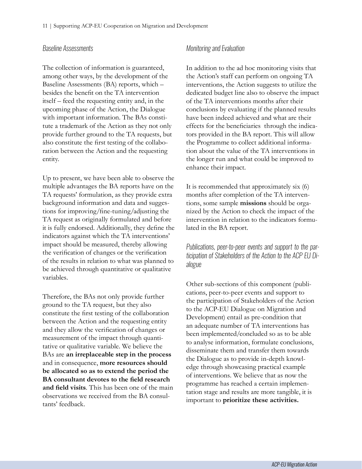#### *Baseline Assessments*

The collection of information is guaranteed, among other ways, by the development of the Baseline Assessments (BA) reports, which – besides the benefit on the TA intervention itself – feed the requesting entity and, in the upcoming phase of the Action, the Dialogue with important information. The BAs constitute a trademark of the Action as they not only provide further ground to the TA requests, but also constitute the first testing of the collaboration between the Action and the requesting entity.

Up to present, we have been able to observe the multiple advantages the BA reports have on the TA requests' formulation, as they provide extra background information and data and suggestions for improving/fine-tuning/adjusting the TA request as originally formulated and before it is fully endorsed. Additionally, they define the indicators against which the TA interventions' impact should be measured, thereby allowing the verification of changes or the verification of the results in relation to what was planned to be achieved through quantitative or qualitative variables.

Therefore, the BAs not only provide further ground to the TA request, but they also constitute the first testing of the collaboration between the Action and the requesting entity and they allow the verification of changes or measurement of the impact through quantitative or qualitative variable. We believe the BAs are **an irreplaceable step in the process** and in consequence, **more resources should be allocated so as to extend the period the BA consultant devotes to the field research and field visits**. This has been one of the main observations we received from the BA consultants' feedback.

#### *Monitoring and Evaluation*

In addition to the ad hoc monitoring visits that the Action's staff can perform on ongoing TA interventions, the Action suggests to utilize the dedicated budget line also to observe the impact of the TA interventions months after their conclusions by evaluating if the planned results have been indeed achieved and what are their effects for the beneficiaries through the indicators provided in the BA report. This will allow the Programme to collect additional information about the value of the TA interventions in the longer run and what could be improved to enhance their impact.

It is recommended that approximately six (6) months after completion of the TA interventions, some sample **missions** should be organized by the Action to check the impact of the intervention in relation to the indicators formulated in the BA report.

*Publications, peer-to-peer events and support to the participation of Stakeholders of the Action to the ACP EU Dialogue* 

Other sub-sections of this component (publications, peer-to-peer events and support to the participation of Stakeholders of the Action to the ACP-EU Dialogue on Migration and Development) entail as pre-condition that an adequate number of TA interventions has been implemented/concluded so as to be able to analyse information, formulate conclusions, disseminate them and transfer them towards the Dialogue as to provide in-depth knowledge through showcasing practical example of interventions. We believe that as now the programme has reached a certain implementation stage and results are more tangible, it is important to **prioritize these activities.**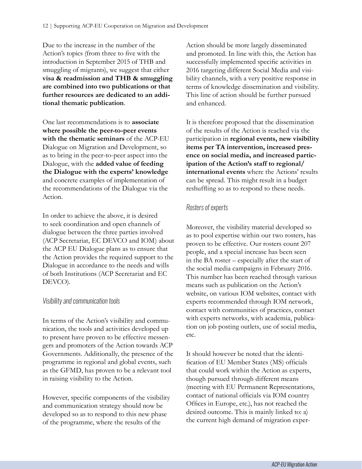Due to the increase in the number of the Action's topics (from three to five with the introduction in September 2015 of THB and smuggling of migrants), we suggest that either **visa & readmission and THB & smuggling are combined into two publications or that further resources are dedicated to an additional thematic publication**.

One last recommendations is to **associate where possible the peer-to-peer events with the thematic seminars** of the ACP-EU Dialogue on Migration and Development, so as to bring in the peer-to-peer aspect into the Dialogue, with the **added value of feeding the Dialogue with the experts' knowledge** and concrete examples of implementation of the recommendations of the Dialogue via the Action.

In order to achieve the above, it is desired to seek coordination and open channels of dialogue between the three parties involved (ACP Secretariat, EC DEVCO and IOM) about the ACP EU Dialogue plans as to ensure that the Action provides the required support to the Dialogue in accordance to the needs and wills of both Institutions (ACP Secretariat and EC DEVCO).

#### *Visibility and communication tools*

In terms of the Action's visibility and communication, the tools and activities developed up to present have proven to be effective messengers and promoters of the Action towards ACP Governments. Additionally, the presence of the programme in regional and global events, such as the GFMD, has proven to be a relevant tool in raising visibility to the Action.

However, specific components of the visibility and communication strategy should now be developed so as to respond to this new phase of the programme, where the results of the

Action should be more largely disseminated and promoted. In line with this, the Action has successfully implemented specific activities in 2016 targeting different Social Media and visibility channels, with a very positive response in terms of knowledge dissemination and visibility. This line of action should be further pursued and enhanced.

It is therefore proposed that the dissemination of the results of the Action is reached via the participation in **regional events, new visibility items per TA intervention, increased presence on social media, and increased participation of the Action's staff to regional/ international events** where the Actions' results can be spread. This might result in a budget reshuffling so as to respond to these needs.

#### *Rosters of experts*

Moreover, the visibility material developed so as to pool expertise within our two rosters, has proven to be effective. Our rosters count 207 people, and a special increase has been seen in the BA roster – especially after the start of the social media campaigns in February 2016. This number has been reached through various means such as publication on the Action's website, on various IOM websites, contact with experts recommended through IOM network, contact with communities of practices, contact with experts networks, with academia, publication on job posting outlets, use of social media, etc.

It should however be noted that the identification of EU Member States (MS) officials that could work within the Action as experts, though pursued through different means (meeting with EU Permanent Representations, contact of national officials via IOM country Offices in Europe, etc.), has not reached the desired outcome. This is mainly linked to: a) the current high demand of migration exper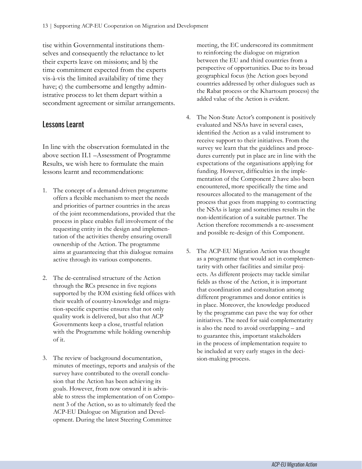<span id="page-12-0"></span>tise within Governmental institutions themselves and consequently the reluctance to let their experts leave on missions; and b) the time commitment expected from the experts vis-à-vis the limited availability of time they have; c) the cumbersome and lengthy administrative process to let them depart within a secondment agreement or similar arrangements.

#### Lessons Learnt

In line with the observation formulated in the above section II.1 –Assessment of Programme Results, we wish here to formulate the main lessons learnt and recommendations:

- 1. The concept of a demand-driven programme offers a flexible mechanism to meet the needs and priorities of partner countries in the areas of the joint recommendations, provided that the process in place enables full involvement of the requesting entity in the design and implementation of the activities thereby ensuring overall ownership of the Action. The programme aims at guaranteeing that this dialogue remains active through its various components.
- 2. The de-centralised structure of the Action through the RCs presence in five regions supported by the IOM existing field offices with their wealth of country-knowledge and migration-specific expertise ensures that not only quality work is delivered, but also that ACP Governments keep a close, trustful relation with the Programme while holding ownership of it.
- 3. The review of background documentation, minutes of meetings, reports and analysis of the survey have contributed to the overall conclusion that the Action has been achieving its goals. However, from now onward it is advisable to stress the implementation of on Component 3 of the Action, so as to ultimately feed the ACP-EU Dialogue on Migration and Development. During the latest Steering Committee

meeting, the EC underscored its commitment to reinforcing the dialogue on migration between the EU and third countries from a perspective of opportunities. Due to its broad geographical focus (the Action goes beyond countries addressed by other dialogues such as the Rabat process or the Khartoum process) the added value of the Action is evident.

- 4. The Non-State Actor's component is positively evaluated and NSAs have in several cases, identified the Action as a valid instrument to receive support to their initiatives. From the survey we learn that the guidelines and procedures currently put in place are in line with the expectations of the organisations applying for funding. However, difficulties in the implementation of the Component 2 have also been encountered, more specifically the time and resources allocated to the management of the process that goes from mapping to contracting the NSAs is large and sometimes results in the non-identification of a suitable partner. The Action therefore recommends a re-assessment and possible re-design of this Component.
- 5. The ACP-EU Migration Action was thought as a programme that would act in complementarity with other facilities and similar projects. As different projects may tackle similar fields as those of the Action, it is important that coordination and consultation among different programmes and donor entities is in place. Moreover, the knowledge produced by the programme can pave the way for other initiatives. The need for said complementarity is also the need to avoid overlapping – and to guarantee this, important stakeholders in the process of implementation require to be included at very early stages in the decision-making process.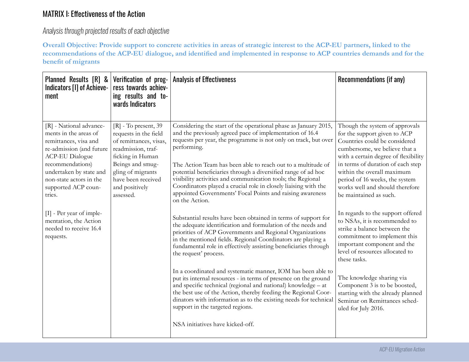### MATRIX I: Effectiveness of the Action

*Analysis through projected results of each objective*

**Overall Objective: Provide support to concrete activities in areas of strategic interest to the ACP-EU partners, linked to the recommendations of the ACP-EU dialogue, and identified and implemented in response to ACP countries demands and for the benefit of migrants** 

| Planned Results [R] &<br>Indicators [I] of Achieve-<br>ment                                                                                                                                                                                                                                                                              | Verification of prog-<br>ress towards achiev-<br>ing results and to-<br>wards Indicators                                                                                                                          | <b>Analysis of Effectiveness</b>                                                                                                                                                                                                                                                                                                                                                                                                                                                                                                                                                                                                                                                                                                                                                                                                                                                                                                                                                                                                                                                                                                                                                                                                                                                                                                            | Recommendations (if any)                                                                                                                                                                                                                                                                                                                                                                                                                                                                                                                                                                                                                                                                                                      |
|------------------------------------------------------------------------------------------------------------------------------------------------------------------------------------------------------------------------------------------------------------------------------------------------------------------------------------------|-------------------------------------------------------------------------------------------------------------------------------------------------------------------------------------------------------------------|---------------------------------------------------------------------------------------------------------------------------------------------------------------------------------------------------------------------------------------------------------------------------------------------------------------------------------------------------------------------------------------------------------------------------------------------------------------------------------------------------------------------------------------------------------------------------------------------------------------------------------------------------------------------------------------------------------------------------------------------------------------------------------------------------------------------------------------------------------------------------------------------------------------------------------------------------------------------------------------------------------------------------------------------------------------------------------------------------------------------------------------------------------------------------------------------------------------------------------------------------------------------------------------------------------------------------------------------|-------------------------------------------------------------------------------------------------------------------------------------------------------------------------------------------------------------------------------------------------------------------------------------------------------------------------------------------------------------------------------------------------------------------------------------------------------------------------------------------------------------------------------------------------------------------------------------------------------------------------------------------------------------------------------------------------------------------------------|
| [R] - National advance-<br>ments in the areas of<br>remittances, visa and<br>re-admission (and future<br><b>ACP-EU Dialogue</b><br>recommendations)<br>undertaken by state and<br>non-state actors in the<br>supported ACP coun-<br>tries.<br>$[I]$ - Per year of imple-<br>mentation, the Action<br>needed to receive 16.4<br>requests. | $[R]$ - To present, 39<br>requests in the field<br>of remittances, visas,<br>readmission, traf-<br>ficking in Human<br>Beings and smug-<br>gling of migrants<br>have been received<br>and positively<br>assessed. | Considering the start of the operational phase as January 2015,<br>and the previously agreed pace of implementation of 16.4<br>requests per year, the programme is not only on track, but over<br>performing.<br>The Action Team has been able to reach out to a multitude of<br>potential beneficiaries through a diversified range of ad hoc<br>visibility activities and communication tools; the Regional<br>Coordinators played a crucial role in closely liaising with the<br>appointed Governments' Focal Points and raising awareness<br>on the Action.<br>Substantial results have been obtained in terms of support for<br>the adequate identification and formulation of the needs and<br>priorities of ACP Governments and Regional Organizations<br>in the mentioned fields. Regional Coordinators are playing a<br>fundamental role in effectively assisting beneficiaries through<br>the request' process.<br>In a coordinated and systematic manner, IOM has been able to<br>put its internal resources - in terms of presence on the ground<br>and specific technical (regional and national) knowledge - at<br>the best use of the Action, thereby feeding the Regional Coor-<br>dinators with information as to the existing needs for technical<br>support in the targeted regions.<br>NSA initiatives have kicked-off. | Though the system of approvals<br>for the support given to ACP<br>Countries could be considered<br>cumbersome, we believe that a<br>with a certain degree of flexibility<br>in terms of duration of each step<br>within the overall maximum<br>period of 16 weeks, the system<br>works well and should therefore<br>be maintained as such.<br>In regards to the support offered<br>to NSAs, it is recommended to<br>strike a balance between the<br>commitment to implement this<br>important component and the<br>level of resources allocated to<br>these tasks.<br>The knowledge sharing via<br>Component 3 is to be boosted,<br>starting with the already planned<br>Seminar on Remittances sched-<br>uled for July 2016. |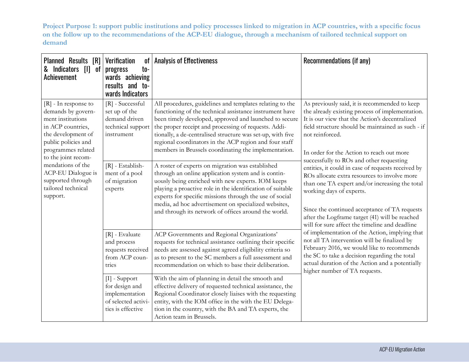**Project Purpose 1: support public institutions and policy processes linked to migration in ACP countries, with a specific focus on the follow up to the recommendations of the ACP-EU dialogue, through a mechanism of tailored technical support on demand**

| Planned Results [R]<br>Indicators [I] of<br>&<br><b>Achievement</b>                                                                                                              | <b>Verification</b><br>of<br>$to-$<br>progress<br>wards achieving<br>results and to-<br>wards Indicators | <b>Analysis of Effectiveness</b>                                                                                                                                                                                                                                                                                                                                                                                      | Recommendations (if any)                                                                                                                                                                                                                                                                                                                                                          |
|----------------------------------------------------------------------------------------------------------------------------------------------------------------------------------|----------------------------------------------------------------------------------------------------------|-----------------------------------------------------------------------------------------------------------------------------------------------------------------------------------------------------------------------------------------------------------------------------------------------------------------------------------------------------------------------------------------------------------------------|-----------------------------------------------------------------------------------------------------------------------------------------------------------------------------------------------------------------------------------------------------------------------------------------------------------------------------------------------------------------------------------|
| $[R]$ - In response to<br>demands by govern-<br>ment institutions<br>in ACP countries,<br>the development of<br>public policies and<br>programmes related<br>to the joint recom- | [R] - Successful<br>set up of the<br>demand driven<br>technical support<br>instrument                    | All procedures, guidelines and templates relating to the<br>functioning of the technical assistance instrument have<br>been timely developed, approved and launched to secure<br>the proper receipt and processing of requests. Addi-<br>tionally, a de-centralised structure was set-up, with five<br>regional coordinators in the ACP region and four staff<br>members in Brussels coordinating the implementation. | As previously said, it is recommended to keep<br>the already existing process of implementation.<br>It is our view that the Action's decentralized<br>field structure should be maintained as such - if<br>not reinforced.<br>In order for the Action to reach out more                                                                                                           |
| mendations of the<br>ACP-EU Dialogue is<br>supported through<br>tailored technical<br>support.                                                                                   | [R] - Establish-<br>ment of a pool<br>of migration<br>experts                                            | A roster of experts on migration was established<br>through an online application system and is contin-<br>uously being enriched with new experts. IOM keeps<br>playing a proactive role in the identification of suitable<br>experts for specific missions through the use of social<br>media, ad hoc advertisement on specialized websites,<br>and through its network of offices around the world.                 | successfully to ROs and other requesting<br>entities, it could in case of requests received by<br>ROs allocate extra resources to involve more<br>than one TA expert and/or increasing the total<br>working days of experts.<br>Since the continued acceptance of TA requests<br>after the Logframe target (41) will be reached<br>will for sure affect the timeline and deadline |
|                                                                                                                                                                                  | $[R]$ - Evaluate<br>and process<br>requests received<br>from ACP coun-<br>tries                          | ACP Governments and Regional Organizations'<br>requests for technical assistance outlining their specific<br>needs are assessed against agreed eligibility criteria so<br>as to present to the SC members a full assessment and<br>recommendation on which to base their deliberation.                                                                                                                                | of implementation of the Action, implying that<br>not all TA intervention will be finalized by<br>February 2016, we would like to recommends<br>the SC to take a decision regarding the total<br>actual duration of the Action and a potentially<br>higher number of TA requests.                                                                                                 |
|                                                                                                                                                                                  | [I] - Support<br>for design and<br>implementation<br>of selected activi-<br>ties is effective            | With the aim of planning in detail the smooth and<br>effective delivery of requested technical assistance, the<br>Regional Coordinator closely liaises with the requesting<br>entity, with the IOM office in the with the EU Delega-<br>tion in the country, with the BA and TA experts, the<br>Action team in Brussels.                                                                                              |                                                                                                                                                                                                                                                                                                                                                                                   |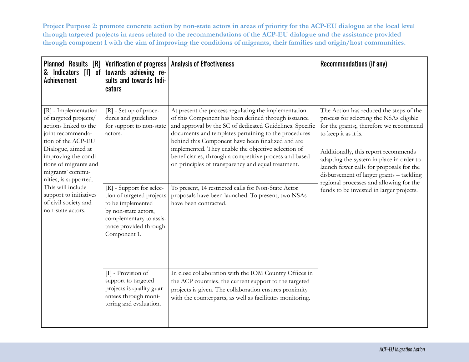**Project Purpose 2: promote concrete action by non-state actors in areas of priority for the ACP-EU dialogue at the local level through targeted projects in areas related to the recommendations of the ACP-EU dialogue and the assistance provided through component 1 with the aim of improving the conditions of migrants, their families and origin/host communities.**

| Planned Results [R]<br>& Indicators [I] of<br>Achievement                                                                                                                                                                                                                                                                         | Verification of progress<br>towards achieving re-<br>sults and towards Indi-<br>cators                                                                                                                                                                           | <b>Analysis of Effectiveness</b>                                                                                                                                                                                                                                                                                                                                                                                                                                                                                                                                                                  | Recommendations (if any)                                                                                                                                                                                                                                                                                                                                                                                                 |
|-----------------------------------------------------------------------------------------------------------------------------------------------------------------------------------------------------------------------------------------------------------------------------------------------------------------------------------|------------------------------------------------------------------------------------------------------------------------------------------------------------------------------------------------------------------------------------------------------------------|---------------------------------------------------------------------------------------------------------------------------------------------------------------------------------------------------------------------------------------------------------------------------------------------------------------------------------------------------------------------------------------------------------------------------------------------------------------------------------------------------------------------------------------------------------------------------------------------------|--------------------------------------------------------------------------------------------------------------------------------------------------------------------------------------------------------------------------------------------------------------------------------------------------------------------------------------------------------------------------------------------------------------------------|
| [R] - Implementation<br>of targeted projects/<br>actions linked to the<br>joint recommenda-<br>tion of the ACP-EU<br>Dialogue, aimed at<br>improving the condi-<br>tions of migrants and<br>migrants' commu-<br>nities, is supported.<br>This will include<br>support to initiatives<br>of civil society and<br>non-state actors. | [R] - Set up of proce-<br>dures and guidelines<br>for support to non-state<br>actors.<br>[R] - Support for selec-<br>tion of targeted projects<br>to be implemented<br>by non-state actors,<br>complementary to assis-<br>tance provided through<br>Component 1. | At present the process regulating the implementation<br>of this Component has been defined through issuance<br>and approval by the SC of dedicated Guidelines. Specific<br>documents and templates pertaining to the procedures<br>behind this Component have been finalized and are<br>implemented. They enable the objective selection of<br>beneficiaries, through a competitive process and based<br>on principles of transparency and equal treatment.<br>To present, 14 restricted calls for Non-State Actor<br>proposals have been launched. To present, two NSAs<br>have been contracted. | The Action has reduced the steps of the<br>process for selecting the NSAs eligible<br>for the grants;, therefore we recommend<br>to keep it as it is.<br>Additionally, this report recommends<br>adapting the system in place in order to<br>launch fewer calls for proposals for the<br>disbursement of larger grants - tackling<br>regional processes and allowing for the<br>funds to be invested in larger projects. |
|                                                                                                                                                                                                                                                                                                                                   | [I] - Provision of<br>support to targeted<br>projects is quality guar-<br>antees through moni-<br>toring and evaluation.                                                                                                                                         | In close collaboration with the IOM Country Offices in<br>the ACP countries, the current support to the targeted<br>projects is given. The collaboration ensures proximity<br>with the counterparts, as well as facilitates monitoring.                                                                                                                                                                                                                                                                                                                                                           |                                                                                                                                                                                                                                                                                                                                                                                                                          |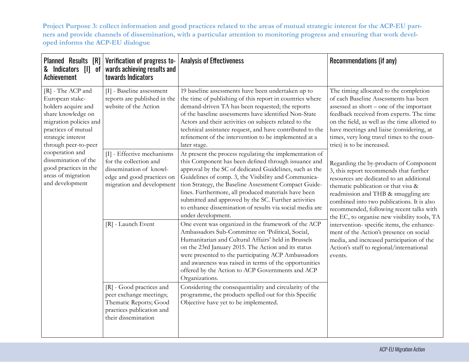**Project Purpose 3: collect information and good practices related to the areas of mutual strategic interest for the ACP-EU partners and provide channels of dissemination, with a particular attention to monitoring progress and ensuring that work developed informs the ACP-EU dialogue**

| Planned Results [R]<br>& Indicators [I] of<br>Achievement                                                                                                                        | Verification of progress to-<br>wards achieving results and<br>towards Indicators                                                          | <b>Analysis of Effectiveness</b>                                                                                                                                                                                                                                                                                                                                                                                                                                                              | Recommendations (if any)                                                                                                                                                                                                                                                                                                                             |
|----------------------------------------------------------------------------------------------------------------------------------------------------------------------------------|--------------------------------------------------------------------------------------------------------------------------------------------|-----------------------------------------------------------------------------------------------------------------------------------------------------------------------------------------------------------------------------------------------------------------------------------------------------------------------------------------------------------------------------------------------------------------------------------------------------------------------------------------------|------------------------------------------------------------------------------------------------------------------------------------------------------------------------------------------------------------------------------------------------------------------------------------------------------------------------------------------------------|
| [R] - The ACP and<br>European stake-<br>holders acquire and<br>share knowledge on<br>migration policies and<br>practices of mutual<br>strategic interest<br>through peer-to-peer | [I] - Baseline assessment<br>reports are published in the<br>website of the Action                                                         | 19 baseline assessments have been undertaken up to<br>the time of publishing of this report in countries where<br>demand-driven TA has been requested; the reports<br>of the baseline assessments have identified Non-State<br>Actors and their activities on subjects related to the<br>technical assistance request, and have contributed to the<br>refinement of the intervention to be implemented at a<br>later stage.                                                                   | The timing allocated to the completion<br>of each Baseline Assessments has been<br>assessed as short - one of the important<br>feedback received from experts. The time<br>on the field, as well as the time allotted to<br>have meetings and liaise (considering, at<br>times, very long travel times to the coun-<br>tries) is to be increased.    |
| cooperation and<br>dissemination of the<br>good practices in the<br>areas of migration<br>and development                                                                        | [I] - Effective mechanisms<br>for the collection and<br>dissemination of knowl-<br>edge and good practices on<br>migration and development | At present the process regulating the implementation of<br>this Component has been defined through issuance and<br>approval by the SC of dedicated Guidelines, such as the<br>Guidelines of comp. 3, the Visibility and Communica-<br>tion Strategy, the Baseline Assessment Compact Guide-<br>lines. Furthermore, all produced materials have been<br>submitted and approved by the SC. Further activities<br>to enhance dissemination of results via social media are<br>under development. | Regarding the by-products of Component<br>3, this report recommends that further<br>resources are dedicated to an additional<br>thematic publication or that visa &<br>readmission and THB & smuggling are<br>combined into two publications. It is also<br>recommended, following recent talks with<br>the EC, to organise new visibility tools, TA |
|                                                                                                                                                                                  | [R] - Launch Event                                                                                                                         | One event was organized in the framework of the ACP<br>Ambassadors Sub-Committee on 'Political, Social,<br>Humanitarian and Cultural Affairs' held in Brussels<br>on the 23rd January 2015. The Action and its status<br>were presented to the participating ACP Ambassadors<br>and awareness was raised in terms of the opportunities<br>offered by the Action to ACP Governments and ACP<br>Organizations.                                                                                  | intervention-specific items, the enhance-<br>ment of the Action's presence on social<br>media, and increased participation of the<br>Action's staff to regional/international<br>events.                                                                                                                                                             |
|                                                                                                                                                                                  | [R] - Good practices and<br>peer exchange meetings;<br>Thematic Reports; Good<br>practices publication and<br>their dissemination          | Considering the consequentiality and circularity of the<br>programme, the products spelled out for this Specific<br>Objective have yet to be implemented.                                                                                                                                                                                                                                                                                                                                     |                                                                                                                                                                                                                                                                                                                                                      |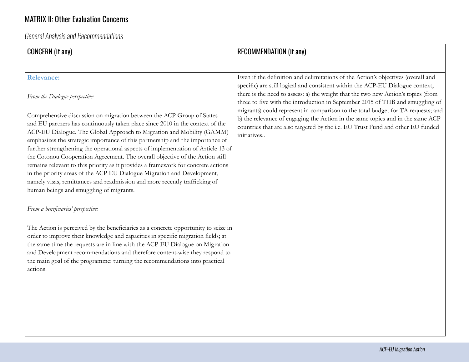## <span id="page-17-0"></span>MATRIX II: Other Evaluation Concerns

*General Analysis and Recommendations*

| <b>CONCERN</b> (if any)                                                                                                                                                                                                                                                                                                                                                                                                                                                                                                                                                                                                                                                                                                                                                       | <b>RECOMMENDATION (if any)</b>                                                                                                                                                                                                                                                                                                           |
|-------------------------------------------------------------------------------------------------------------------------------------------------------------------------------------------------------------------------------------------------------------------------------------------------------------------------------------------------------------------------------------------------------------------------------------------------------------------------------------------------------------------------------------------------------------------------------------------------------------------------------------------------------------------------------------------------------------------------------------------------------------------------------|------------------------------------------------------------------------------------------------------------------------------------------------------------------------------------------------------------------------------------------------------------------------------------------------------------------------------------------|
| <b>Relevance:</b><br>From the Dialogue perspective:                                                                                                                                                                                                                                                                                                                                                                                                                                                                                                                                                                                                                                                                                                                           | Even if the definition and delimitations of the Action's objectives (overall and<br>specific) are still logical and consistent within the ACP-EU Dialogue context,<br>there is the need to assess: a) the weight that the two new Action's topics (from<br>three to five with the introduction in September 2015 of THB and smuggling of |
| Comprehensive discussion on migration between the ACP Group of States<br>and EU partners has continuously taken place since 2010 in the context of the<br>ACP-EU Dialogue. The Global Approach to Migration and Mobility (GAMM)<br>emphasizes the strategic importance of this partnership and the importance of<br>further strengthening the operational aspects of implementation of Article 13 of<br>the Cotonou Cooperation Agreement. The overall objective of the Action still<br>remains relevant to this priority as it provides a framework for concrete actions<br>in the priority areas of the ACP EU Dialogue Migration and Development,<br>namely visas, remittances and readmission and more recently trafficking of<br>human beings and smuggling of migrants. | migrants) could represent in comparison to the total budget for TA requests; and<br>b) the relevance of engaging the Action in the same topics and in the same ACP<br>countries that are also targeted by the i.e. EU Trust Fund and other EU funded<br>initiatives                                                                      |
| From a beneficiaries' perspective:<br>The Action is perceived by the beneficiaries as a concrete opportunity to seize in<br>order to improve their knowledge and capacities in specific migration fields; at<br>the same time the requests are in line with the ACP-EU Dialogue on Migration                                                                                                                                                                                                                                                                                                                                                                                                                                                                                  |                                                                                                                                                                                                                                                                                                                                          |
| and Development recommendations and therefore content-wise they respond to<br>the main goal of the programme: turning the recommendations into practical<br>actions.                                                                                                                                                                                                                                                                                                                                                                                                                                                                                                                                                                                                          |                                                                                                                                                                                                                                                                                                                                          |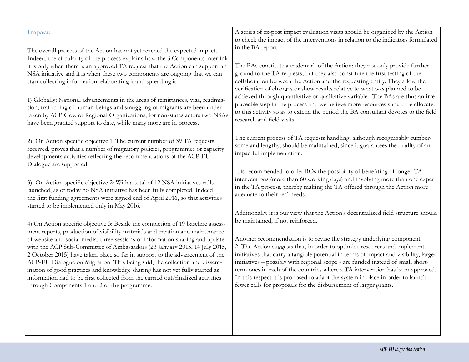| Impact:                                                                                                                                                                                                                                                                                                                                                                                                                                                                                    | A series of ex-post impact evaluation visits should be organized by the Action<br>to check the impact of the interventions in relation to the indicators formulated                                                                                                                                                                                                                                                                                                                               |
|--------------------------------------------------------------------------------------------------------------------------------------------------------------------------------------------------------------------------------------------------------------------------------------------------------------------------------------------------------------------------------------------------------------------------------------------------------------------------------------------|---------------------------------------------------------------------------------------------------------------------------------------------------------------------------------------------------------------------------------------------------------------------------------------------------------------------------------------------------------------------------------------------------------------------------------------------------------------------------------------------------|
| The overall process of the Action has not yet reached the expected impact.<br>Indeed, the circularity of the process explains how the 3 Components interlink:                                                                                                                                                                                                                                                                                                                              | in the BA report.                                                                                                                                                                                                                                                                                                                                                                                                                                                                                 |
| it is only when there is an approved TA request that the Action can support an                                                                                                                                                                                                                                                                                                                                                                                                             | The BAs constitute a trademark of the Action: they not only provide further                                                                                                                                                                                                                                                                                                                                                                                                                       |
| NSA initiative and it is when these two components are ongoing that we can<br>start collecting information, elaborating it and spreading it.                                                                                                                                                                                                                                                                                                                                               | ground to the TA requests, but they also constitute the first testing of the<br>collaboration between the Action and the requesting entity. They allow the<br>verification of changes or show results relative to what was planned to be                                                                                                                                                                                                                                                          |
| 1) Globally: National advancements in the areas of remittances, visa, readmis-<br>sion, trafficking of human beings and smuggling of migrants are been under-<br>taken by ACP Gov. or Regional Organizations; for non-states actors two NSAs<br>have been granted support to date, while many more are in process.                                                                                                                                                                         | achieved through quantitative or qualitative variable . The BAs are thus an irre-<br>placeable step in the process and we believe more resources should be allocated<br>to this activity so as to extend the period the BA consultant devotes to the field<br>research and field visits.                                                                                                                                                                                                          |
| 2) On Action specific objective 1: The current number of 39 TA requests<br>received, proves that a number of migratory policies, programmes or capacity<br>developments activities reflecting the recommendations of the ACP-EU<br>Dialogue are supported.                                                                                                                                                                                                                                 | The current process of TA requests handling, although recognizably cumber-<br>some and lengthy, should be maintained, since it guarantees the quality of an<br>impactful implementation.                                                                                                                                                                                                                                                                                                          |
| 3) On Action specific objective 2: With a total of 12 NSA initiatives calls<br>launched, as of today no NSA initiative has been fully completed. Indeed<br>the first funding agreements were signed end of April 2016, so that activities<br>started to be implemented only in May 2016.                                                                                                                                                                                                   | It is recommended to offer ROs the possibility of benefiting of longer TA<br>interventions (more than 60 working days) and involving more than one expert<br>in the TA process, thereby making the TA offered through the Action more<br>adequate to their real needs.                                                                                                                                                                                                                            |
|                                                                                                                                                                                                                                                                                                                                                                                                                                                                                            | Additionally, it is our view that the Action's decentralized field structure should                                                                                                                                                                                                                                                                                                                                                                                                               |
| 4) On Action specific objective 3: Beside the completion of 19 baseline assess-<br>ment reports, production of visibility materials and creation and maintenance                                                                                                                                                                                                                                                                                                                           | be maintained, if not reinforced.                                                                                                                                                                                                                                                                                                                                                                                                                                                                 |
| of website and social media, three sessions of information sharing and update<br>with the ACP Sub-Committee of Ambassadors (23 January 2015, 14 July 2015,<br>2 October 2015) have taken place so far in support to the advancement of the<br>ACP-EU Dialogue on Migration. This being said, the collection and dissem-<br>ination of good practices and knowledge sharing has not yet fully started as<br>information had to be first collected from the carried out/finalized activities | Another recommendation is to revise the strategy underlying component<br>2. The Action suggests that, in order to optimize resources and implement<br>initiatives that carry a tangible potential in terms of impact and visibility, larger<br>initiatives - possibly with regional scope - are funded instead of small short-<br>term ones in each of the countries where a TA intervention has been approved.<br>In this respect it is proposed to adapt the system in place in order to launch |
| through Components 1 and 2 of the programme.                                                                                                                                                                                                                                                                                                                                                                                                                                               | fewer calls for proposals for the disbursement of larger grants.                                                                                                                                                                                                                                                                                                                                                                                                                                  |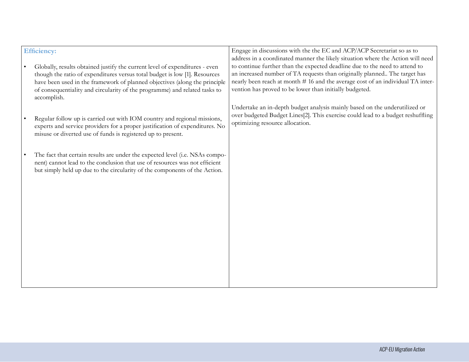| <b>Efficiency:</b><br>Globally, results obtained justify the current level of expenditures - even<br>though the ratio of expenditures versus total budget is low [1]. Resources<br>have been used in the framework of planned objectives (along the principle<br>of consequentiality and circularity of the programme) and related tasks to | Engage in discussions with the the EC and ACP/ACP Secretariat so as to<br>address in a coordinated manner the likely situation where the Action will need<br>to continue further than the expected deadline due to the need to attend to<br>an increased number of TA requests than originally planned The target has<br>nearly been reach at month #16 and the average cost of an individual TA inter-<br>vention has proved to be lower than initially budgeted. |
|---------------------------------------------------------------------------------------------------------------------------------------------------------------------------------------------------------------------------------------------------------------------------------------------------------------------------------------------|--------------------------------------------------------------------------------------------------------------------------------------------------------------------------------------------------------------------------------------------------------------------------------------------------------------------------------------------------------------------------------------------------------------------------------------------------------------------|
| accomplish.<br>Regular follow up is carried out with IOM country and regional missions,<br>experts and service providers for a proper justification of expenditures. No<br>misuse or diverted use of funds is registered up to present.                                                                                                     | Undertake an in-depth budget analysis mainly based on the underutilized or<br>over budgeted Budget Lines[2]. This exercise could lead to a budget reshuffling<br>optimizing resource allocation.                                                                                                                                                                                                                                                                   |
| The fact that certain results are under the expected level (i.e. NSAs compo-<br>nent) cannot lead to the conclusion that use of resources was not efficient<br>but simply held up due to the circularity of the components of the Action.                                                                                                   |                                                                                                                                                                                                                                                                                                                                                                                                                                                                    |
|                                                                                                                                                                                                                                                                                                                                             |                                                                                                                                                                                                                                                                                                                                                                                                                                                                    |
|                                                                                                                                                                                                                                                                                                                                             |                                                                                                                                                                                                                                                                                                                                                                                                                                                                    |
|                                                                                                                                                                                                                                                                                                                                             |                                                                                                                                                                                                                                                                                                                                                                                                                                                                    |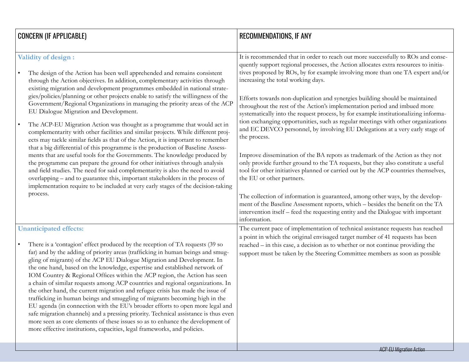| <b>CONCERN (IF APPLICABLE)</b>                                                                                                                                                                                                                                                                                                                                                                                                                                                                                                                                                                                                                                                                                                                                                                                                                                                                                                                                                                                                                                                                                                                                                                                                                          | <b>RECOMMENDATIONS, IF ANY</b>                                                                                                                                                                                                                                                                                                                                                                                                                                                                                                                                                                                                                                                                                                                                                                                                                                                                                                                                                                                                                                                                                                                                                                                                                                                                          |
|---------------------------------------------------------------------------------------------------------------------------------------------------------------------------------------------------------------------------------------------------------------------------------------------------------------------------------------------------------------------------------------------------------------------------------------------------------------------------------------------------------------------------------------------------------------------------------------------------------------------------------------------------------------------------------------------------------------------------------------------------------------------------------------------------------------------------------------------------------------------------------------------------------------------------------------------------------------------------------------------------------------------------------------------------------------------------------------------------------------------------------------------------------------------------------------------------------------------------------------------------------|---------------------------------------------------------------------------------------------------------------------------------------------------------------------------------------------------------------------------------------------------------------------------------------------------------------------------------------------------------------------------------------------------------------------------------------------------------------------------------------------------------------------------------------------------------------------------------------------------------------------------------------------------------------------------------------------------------------------------------------------------------------------------------------------------------------------------------------------------------------------------------------------------------------------------------------------------------------------------------------------------------------------------------------------------------------------------------------------------------------------------------------------------------------------------------------------------------------------------------------------------------------------------------------------------------|
| Validity of design :<br>The design of the Action has been well apprehended and remains consistent<br>through the Action objectives. In addition, complementary activities through<br>existing migration and development programmes embedded in national strate-<br>gies/policies/planning or other projects enable to satisfy the willingness of the<br>Government/Regional Organizations in managing the priority areas of the ACP<br>EU Dialogue Migration and Development.<br>The ACP-EU Migration Action was thought as a programme that would act in<br>complementarity with other facilities and similar projects. While different proj-<br>ects may tackle similar fields as that of the Action, it is important to remember<br>that a big differential of this programme is the production of Baseline Assess-<br>ments that are useful tools for the Governments. The knowledge produced by<br>the programme can prepare the ground for other initiatives through analysis<br>and field studies. The need for said complementarity is also the need to avoid<br>overlapping – and to guarantee this, important stakeholders in the process of<br>implementation require to be included at very early stages of the decision-taking<br>process. | It is recommended that in order to reach out more successfully to ROs and conse-<br>quently support regional processes, the Action allocates extra resources to initia-<br>tives proposed by ROs, by for example involving more than one TA expert and/or<br>increasing the total working days.<br>Efforts towards non-duplication and synergies building should be maintained<br>throughout the rest of the Action's implementation period and imbued more<br>systematically into the request process, by for example institutionalizing informa-<br>tion exchanging opportunities, such as regular meetings with other organizations<br>and EC DEVCO personnel, by involving EU Delegations at a very early stage of<br>the process.<br>Improve dissemination of the BA repots as trademark of the Action as they not<br>only provide further ground to the TA requests, but they also constitute a useful<br>tool for other initiatives planned or carried out by the ACP countries themselves,<br>the EU or other partners.<br>The collection of information is guaranteed, among other ways, by the develop-<br>ment of the Baseline Assessment reports, which - besides the benefit on the TA<br>intervention itself – feed the requesting entity and the Dialogue with important<br>information. |
| <b>Unanticipated effects:</b><br>There is a 'contagion' effect produced by the reception of TA requests (39 so<br>far) and by the adding of priority areas (trafficking in human beings and smug-<br>gling of migrants) of the ACP EU Dialogue Migration and Development. In<br>the one hand, based on the knowledge, expertise and established network of<br>IOM Country & Regional Offices within the ACP region, the Action has seen<br>a chain of similar requests among ACP countries and regional organizations. In<br>the other hand, the current migration and refugee crisis has made the issue of<br>trafficking in human beings and smuggling of migrants becoming high in the<br>EU agenda (in connection with the EU's broader efforts to open more legal and<br>safe migration channels) and a pressing priority. Technical assistance is thus even<br>more seen as core elements of these issues so as to enhance the development of<br>more effective institutions, capacities, legal frameworks, and policies.                                                                                                                                                                                                                         | The current pace of implementation of technical assistance requests has reached<br>a point in which the original envisaged target number of 41 requests has been<br>reached - in this case, a decision as to whether or not continue providing the<br>support must be taken by the Steering Committee members as soon as possible                                                                                                                                                                                                                                                                                                                                                                                                                                                                                                                                                                                                                                                                                                                                                                                                                                                                                                                                                                       |
|                                                                                                                                                                                                                                                                                                                                                                                                                                                                                                                                                                                                                                                                                                                                                                                                                                                                                                                                                                                                                                                                                                                                                                                                                                                         | <b>ACP-EU Migration Action</b>                                                                                                                                                                                                                                                                                                                                                                                                                                                                                                                                                                                                                                                                                                                                                                                                                                                                                                                                                                                                                                                                                                                                                                                                                                                                          |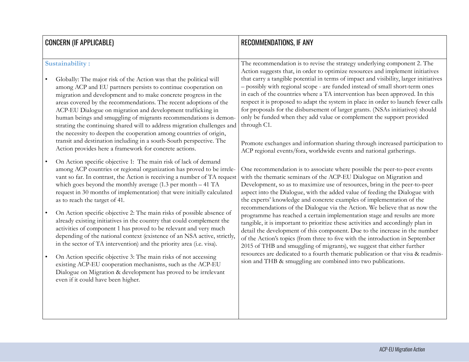| <b>CONCERN (IF APPLICABLE)</b>                                                                                                                                                                                                                                                                                                                                                                                     | <b>RECOMMENDATIONS, IF ANY</b>                                                                                                                                                                                                                                                                                                                                                                                                                                                        |
|--------------------------------------------------------------------------------------------------------------------------------------------------------------------------------------------------------------------------------------------------------------------------------------------------------------------------------------------------------------------------------------------------------------------|---------------------------------------------------------------------------------------------------------------------------------------------------------------------------------------------------------------------------------------------------------------------------------------------------------------------------------------------------------------------------------------------------------------------------------------------------------------------------------------|
| Sustainability:<br>Globally: The major risk of the Action was that the political will<br>among ACP and EU partners persists to continue cooperation on<br>migration and development and to make concrete progress in the                                                                                                                                                                                           | The recommendation is to revise the strategy underlying component 2. The<br>Action suggests that, in order to optimize resources and implement initiatives<br>that carry a tangible potential in terms of impact and visibility, larger initiatives<br>- possibly with regional scope - are funded instead of small short-term ones<br>in each of the countries where a TA intervention has been approved. In this                                                                    |
| areas covered by the recommendations. The recent adoptions of the<br>ACP-EU Dialogue on migration and development trafficking in<br>human beings and smuggling of migrants recommendations is demon-<br>strating the continuing shared will to address migration challenges and<br>the necessity to deepen the cooperation among countries of origin,                                                              | respect it is proposed to adapt the system in place in order to launch fewer calls<br>for proposals for the disbursement of larger grants. (NSAs initiatives) should<br>only be funded when they add value or complement the support provided<br>through C1.                                                                                                                                                                                                                          |
| transit and destination including in a south-South perspective. The<br>Action provides here a framework for concrete actions.                                                                                                                                                                                                                                                                                      | Promote exchanges and information sharing through increased participation to<br>ACP regional events/fora, worldwide events and national gatherings.                                                                                                                                                                                                                                                                                                                                   |
| On Action specific objective 1: The main risk of lack of demand<br>among ACP countries or regional organization has proved to be irrele-<br>vant so far. In contrast, the Action is receiving a number of TA request<br>which goes beyond the monthly average $(1.3 \text{ per month} - 41 \text{ TA})$<br>request in 30 months of implementation) that were initially calculated<br>as to reach the target of 41. | One recommendation is to associate where possible the peer-to-peer events<br>with the thematic seminars of the ACP-EU Dialogue on Migration and<br>Development, so as to maximize use of resources, bring in the peer-to-peer<br>aspect into the Dialogue, with the added value of feeding the Dialogue with<br>the experts' knowledge and concrete examples of implementation of the                                                                                                 |
| On Action specific objective 2: The main risks of possible absence of<br>already existing initiatives in the country that could complement the<br>activities of component 1 has proved to be relevant and very much<br>depending of the national context (existence of an NSA active, strictly,<br>in the sector of TA intervention) and the priority area (i.e. visa).                                            | recommendations of the Dialogue via the Action. We believe that as now the<br>programme has reached a certain implementation stage and results are more<br>tangible, it is important to prioritize these activities and accordingly plan in<br>detail the development of this component. Due to the increase in the number<br>of the Action's topics (from three to five with the introduction in September<br>2015 of THB and smuggling of migrants), we suggest that either further |
| On Action specific objective 3: The main risks of not accessing<br>existing ACP-EU cooperation mechanisms, such as the ACP-EU<br>Dialogue on Migration & development has proved to be irrelevant<br>even if it could have been higher.                                                                                                                                                                             | resources are dedicated to a fourth thematic publication or that visa & readmis-<br>sion and THB & smuggling are combined into two publications.                                                                                                                                                                                                                                                                                                                                      |